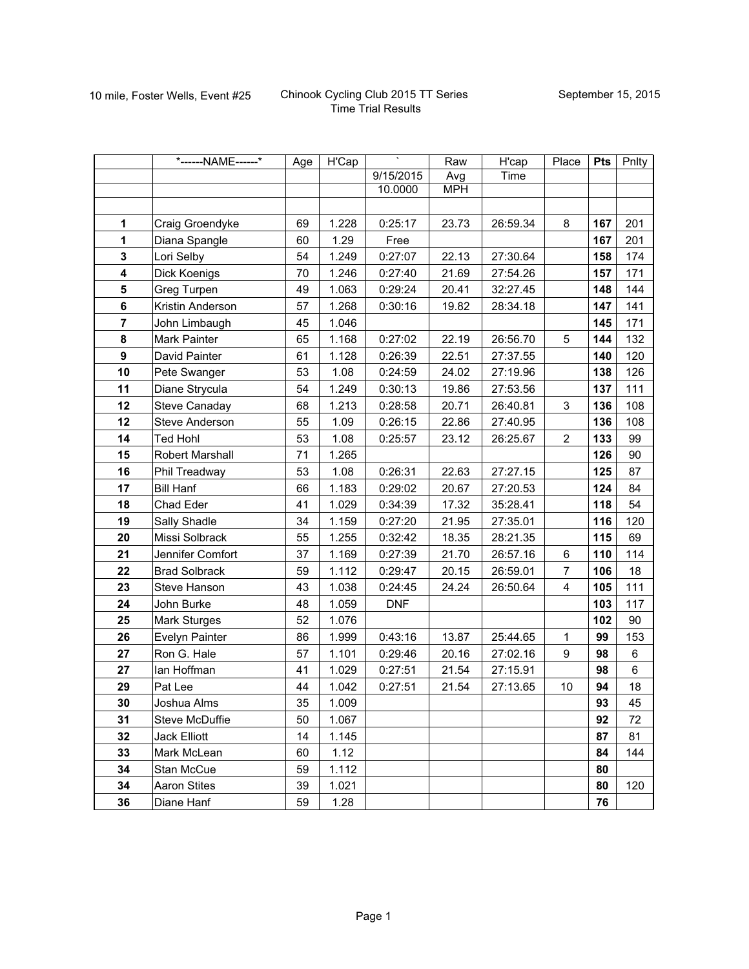|                         | *------NAME------*    | Age | H'Cap | $\mathcal{N}$ | Raw        | H'cap    | Place                   | <b>Pts</b> | Pnlty |
|-------------------------|-----------------------|-----|-------|---------------|------------|----------|-------------------------|------------|-------|
|                         |                       |     |       | 9/15/2015     | Avg        | Time     |                         |            |       |
|                         |                       |     |       | 10.0000       | <b>MPH</b> |          |                         |            |       |
|                         |                       |     |       |               |            |          |                         |            |       |
| 1                       | Craig Groendyke       | 69  | 1.228 | 0:25:17       | 23.73      | 26:59.34 | 8                       | 167        | 201   |
| 1                       | Diana Spangle         | 60  | 1.29  | Free          |            |          |                         | 167        | 201   |
| $\mathbf{3}$            | Lori Selby            | 54  | 1.249 | 0:27:07       | 22.13      | 27:30.64 |                         | 158        | 174   |
| $\overline{\mathbf{4}}$ | Dick Koenigs          | 70  | 1.246 | 0:27:40       | 21.69      | 27:54.26 |                         | 157        | 171   |
| 5                       | Greg Turpen           | 49  | 1.063 | 0:29:24       | 20.41      | 32:27.45 |                         | 148        | 144   |
| 6                       | Kristin Anderson      | 57  | 1.268 | 0:30:16       | 19.82      | 28:34.18 |                         | 147        | 141   |
| $\overline{7}$          | John Limbaugh         | 45  | 1.046 |               |            |          |                         | 145        | 171   |
| ${\bf 8}$               | Mark Painter          | 65  | 1.168 | 0:27:02       | 22.19      | 26:56.70 | 5                       | 144        | 132   |
| $\boldsymbol{9}$        | David Painter         | 61  | 1.128 | 0:26:39       | 22.51      | 27:37.55 |                         | 140        | 120   |
| 10                      | Pete Swanger          | 53  | 1.08  | 0:24:59       | 24.02      | 27:19.96 |                         | 138        | 126   |
| 11                      | Diane Strycula        | 54  | 1.249 | 0:30:13       | 19.86      | 27:53.56 |                         | 137        | 111   |
| 12                      | Steve Canaday         | 68  | 1.213 | 0:28:58       | 20.71      | 26:40.81 | 3                       | 136        | 108   |
| 12                      | <b>Steve Anderson</b> | 55  | 1.09  | 0:26:15       | 22.86      | 27:40.95 |                         | 136        | 108   |
| 14                      | <b>Ted Hohl</b>       | 53  | 1.08  | 0:25:57       | 23.12      | 26:25.67 | $\overline{2}$          | 133        | 99    |
| 15                      | Robert Marshall       | 71  | 1.265 |               |            |          |                         | 126        | 90    |
| 16                      | Phil Treadway         | 53  | 1.08  | 0:26:31       | 22.63      | 27:27.15 |                         | 125        | 87    |
| 17                      | <b>Bill Hanf</b>      | 66  | 1.183 | 0:29:02       | 20.67      | 27:20.53 |                         | 124        | 84    |
| 18                      | Chad Eder             | 41  | 1.029 | 0:34:39       | 17.32      | 35:28.41 |                         | 118        | 54    |
| 19                      | Sally Shadle          | 34  | 1.159 | 0:27:20       | 21.95      | 27:35.01 |                         | 116        | 120   |
| 20                      | Missi Solbrack        | 55  | 1.255 | 0:32:42       | 18.35      | 28:21.35 |                         | 115        | 69    |
| 21                      | Jennifer Comfort      | 37  | 1.169 | 0:27:39       | 21.70      | 26:57.16 | 6                       | 110        | 114   |
| 22                      | <b>Brad Solbrack</b>  | 59  | 1.112 | 0:29:47       | 20.15      | 26:59.01 | $\overline{7}$          | 106        | 18    |
| 23                      | Steve Hanson          | 43  | 1.038 | 0:24:45       | 24.24      | 26:50.64 | $\overline{\mathbf{4}}$ | 105        | 111   |
| 24                      | John Burke            | 48  | 1.059 | <b>DNF</b>    |            |          |                         | 103        | 117   |
| 25                      | Mark Sturges          | 52  | 1.076 |               |            |          |                         | 102        | 90    |
| 26                      | Evelyn Painter        | 86  | 1.999 | 0:43:16       | 13.87      | 25:44.65 | $\mathbf{1}$            | 99         | 153   |
| 27                      | Ron G. Hale           | 57  | 1.101 | 0:29:46       | 20.16      | 27:02.16 | $\boldsymbol{9}$        | 98         | 6     |
| 27                      | lan Hoffman           | 41  | 1.029 | 0:27:51       | 21.54      | 27:15.91 |                         | 98         | 6     |
| 29                      | Pat Lee               | 44  | 1.042 | 0:27:51       | 21.54      | 27:13.65 | 10                      | 94         | 18    |
| 30                      | Joshua Alms           | 35  | 1.009 |               |            |          |                         | 93         | 45    |
| 31                      | Steve McDuffie        | 50  | 1.067 |               |            |          |                         | 92         | 72    |
| 32                      | Jack Elliott          | 14  | 1.145 |               |            |          |                         | 87         | 81    |
| 33                      | Mark McLean           | 60  | 1.12  |               |            |          |                         | 84         | 144   |
| 34                      | Stan McCue            | 59  | 1.112 |               |            |          |                         | 80         |       |
| 34                      | <b>Aaron Stites</b>   | 39  | 1.021 |               |            |          |                         | 80         | 120   |
| 36                      | Diane Hanf            | 59  | 1.28  |               |            |          |                         | 76         |       |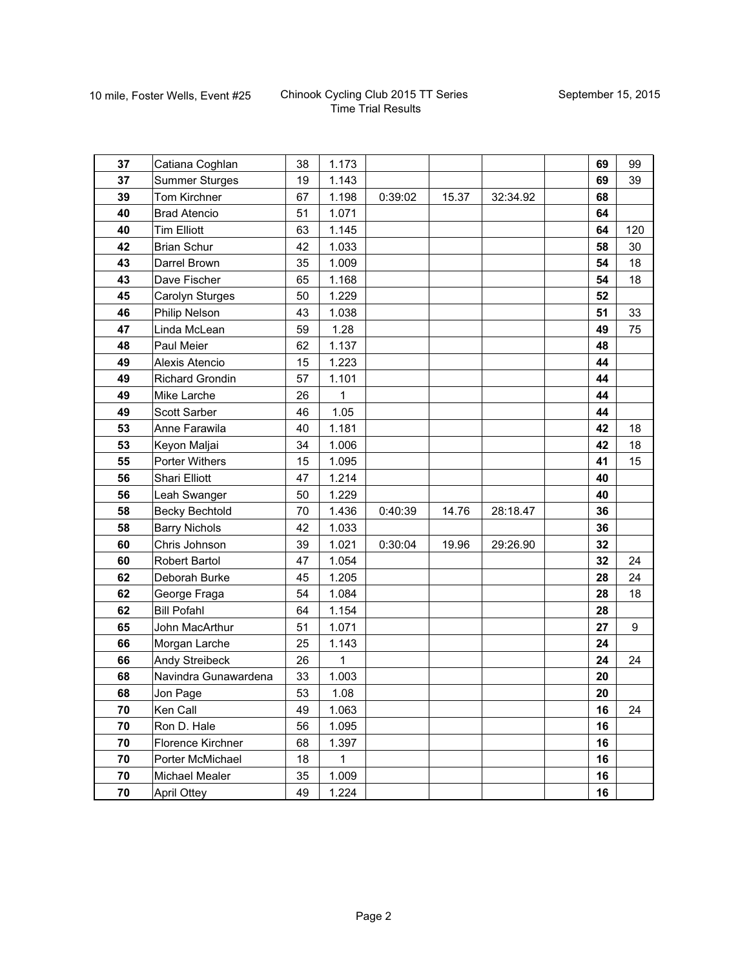|          |                                          |          |                |         |       |          | 69 |          |
|----------|------------------------------------------|----------|----------------|---------|-------|----------|----|----------|
| 37<br>37 | Catiana Coghlan<br><b>Summer Sturges</b> | 38<br>19 | 1.173<br>1.143 |         |       |          | 69 | 99<br>39 |
| 39       | Tom Kirchner                             | 67       | 1.198          | 0:39:02 | 15.37 | 32:34.92 | 68 |          |
| 40       | <b>Brad Atencio</b>                      | 51       | 1.071          |         |       |          | 64 |          |
| 40       | <b>Tim Elliott</b>                       | 63       | 1.145          |         |       |          | 64 | 120      |
| 42       | <b>Brian Schur</b>                       | 42       | 1.033          |         |       |          | 58 | 30       |
| 43       | Darrel Brown                             | 35       | 1.009          |         |       |          | 54 | 18       |
| 43       | Dave Fischer                             | 65       | 1.168          |         |       |          | 54 | 18       |
| 45       | Carolyn Sturges                          | 50       | 1.229          |         |       |          | 52 |          |
| 46       | Philip Nelson                            | 43       | 1.038          |         |       |          | 51 | 33       |
| 47       | Linda McLean                             | 59       | 1.28           |         |       |          | 49 | 75       |
| 48       | Paul Meier                               | 62       | 1.137          |         |       |          | 48 |          |
| 49       | Alexis Atencio                           | 15       | 1.223          |         |       |          | 44 |          |
| 49       | <b>Richard Grondin</b>                   | 57       | 1.101          |         |       |          | 44 |          |
| 49       | Mike Larche                              | 26       | 1              |         |       |          | 44 |          |
| 49       | Scott Sarber                             | 46       | 1.05           |         |       |          | 44 |          |
| 53       | Anne Farawila                            | 40       | 1.181          |         |       |          | 42 | 18       |
| 53       | Keyon Maljai                             | 34       | 1.006          |         |       |          | 42 | 18       |
| 55       | Porter Withers                           | 15       | 1.095          |         |       |          | 41 | 15       |
| 56       | <b>Shari Elliott</b>                     | 47       | 1.214          |         |       |          | 40 |          |
| 56       | Leah Swanger                             | 50       | 1.229          |         |       |          | 40 |          |
| 58       | <b>Becky Bechtold</b>                    | 70       | 1.436          | 0:40:39 | 14.76 | 28:18.47 | 36 |          |
| 58       | <b>Barry Nichols</b>                     | 42       | 1.033          |         |       |          | 36 |          |
| 60       | Chris Johnson                            | 39       | 1.021          | 0:30:04 | 19.96 | 29:26.90 | 32 |          |
| 60       | <b>Robert Bartol</b>                     | 47       | 1.054          |         |       |          | 32 | 24       |
| 62       | Deborah Burke                            | 45       | 1.205          |         |       |          | 28 | 24       |
| 62       | George Fraga                             | 54       | 1.084          |         |       |          | 28 | 18       |
| 62       | <b>Bill Pofahl</b>                       | 64       | 1.154          |         |       |          | 28 |          |
| 65       | John MacArthur                           | 51       | 1.071          |         |       |          | 27 | 9        |
| 66       | Morgan Larche                            | 25       | 1.143          |         |       |          | 24 |          |
| 66       | Andy Streibeck                           | 26       | 1              |         |       |          | 24 | 24       |
| 68       | Navindra Gunawardena                     | 33       | 1.003          |         |       |          | 20 |          |
| 68       | Jon Page                                 | 53       | 1.08           |         |       |          | 20 |          |
| 70       | Ken Call                                 | 49       | 1.063          |         |       |          | 16 | 24       |
| 70       | Ron D. Hale                              | 56       | 1.095          |         |       |          | 16 |          |
| 70       | Florence Kirchner                        | 68       | 1.397          |         |       |          | 16 |          |
| 70       | Porter McMichael                         | 18       | $\mathbf{1}$   |         |       |          | 16 |          |
| 70       | Michael Mealer                           | 35       | 1.009          |         |       |          | 16 |          |
| 70       | <b>April Ottey</b>                       | 49       | 1.224          |         |       |          | 16 |          |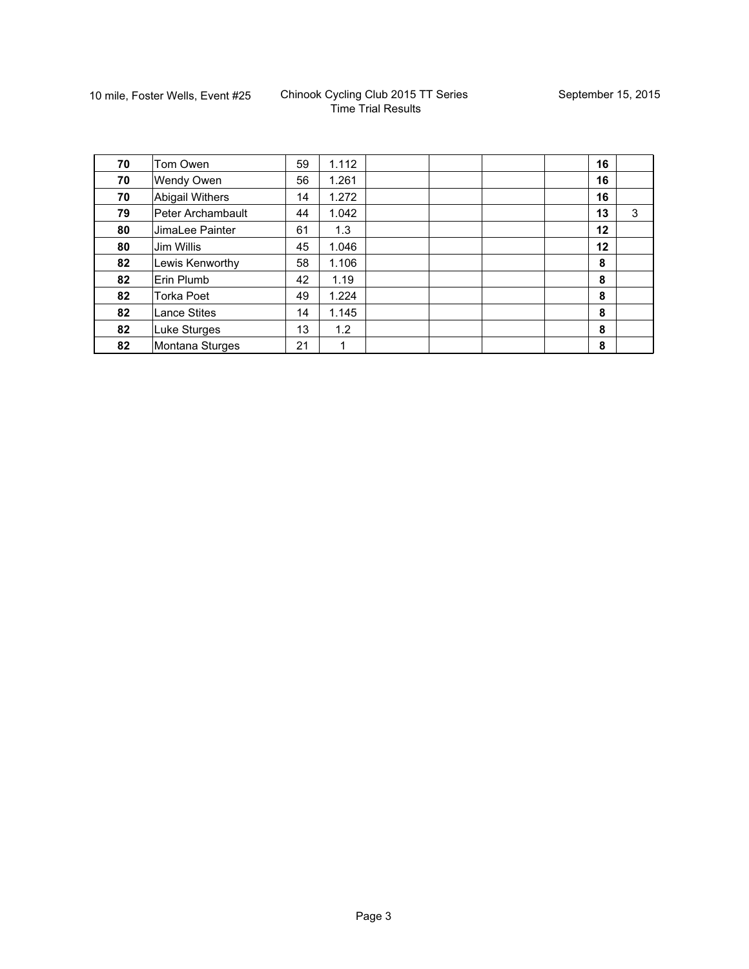| 70 | Tom Owen            | 59 | 1.112 |  | 16 |   |
|----|---------------------|----|-------|--|----|---|
| 70 | Wendy Owen          | 56 | 1.261 |  | 16 |   |
| 70 | Abigail Withers     | 14 | 1.272 |  | 16 |   |
| 79 | Peter Archambault   | 44 | 1.042 |  | 13 | 3 |
| 80 | JimaLee Painter     | 61 | 1.3   |  | 12 |   |
| 80 | Jim Willis          | 45 | 1.046 |  | 12 |   |
| 82 | Lewis Kenworthy     | 58 | 1.106 |  | 8  |   |
| 82 | Erin Plumb          | 42 | 1.19  |  | 8  |   |
| 82 | <b>Torka Poet</b>   | 49 | 1.224 |  | 8  |   |
| 82 | <b>Lance Stites</b> | 14 | 1.145 |  | 8  |   |
| 82 | Luke Sturges        | 13 | 1.2   |  | 8  |   |
| 82 | Montana Sturges     | 21 | 1     |  | 8  |   |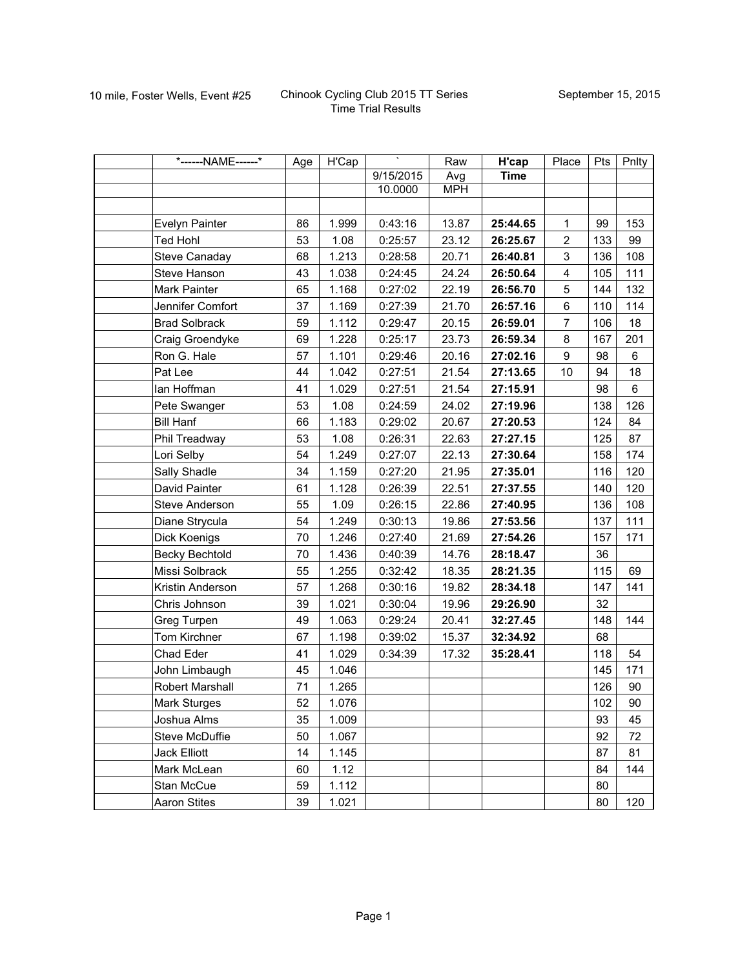| *------NAME------*    | Age | $\overline{H'Cap}$ | Τ         | Raw        | H'cap       | Place            | Pts | Pnlty   |
|-----------------------|-----|--------------------|-----------|------------|-------------|------------------|-----|---------|
|                       |     |                    | 9/15/2015 | Avg        | <b>Time</b> |                  |     |         |
|                       |     |                    | 10.0000   | <b>MPH</b> |             |                  |     |         |
|                       |     |                    |           |            |             |                  |     |         |
| Evelyn Painter        | 86  | 1.999              | 0:43:16   | 13.87      | 25:44.65    | 1                | 99  | 153     |
| <b>Ted Hohl</b>       | 53  | 1.08               | 0:25:57   | 23.12      | 26:25.67    | $\overline{2}$   | 133 | 99      |
| Steve Canaday         | 68  | 1.213              | 0:28:58   | 20.71      | 26:40.81    | 3                | 136 | 108     |
| Steve Hanson          | 43  | 1.038              | 0:24:45   | 24.24      | 26:50.64    | 4                | 105 | 111     |
| Mark Painter          | 65  | 1.168              | 0:27:02   | 22.19      | 26:56.70    | 5                | 144 | 132     |
| Jennifer Comfort      | 37  | 1.169              | 0:27:39   | 21.70      | 26:57.16    | 6                | 110 | 114     |
| <b>Brad Solbrack</b>  | 59  | 1.112              | 0:29:47   | 20.15      | 26:59.01    | $\overline{7}$   | 106 | 18      |
| Craig Groendyke       | 69  | 1.228              | 0:25:17   | 23.73      | 26:59.34    | 8                | 167 | 201     |
| Ron G. Hale           | 57  | 1.101              | 0:29:46   | 20.16      | 27:02.16    | $\boldsymbol{9}$ | 98  | 6       |
| Pat Lee               | 44  | 1.042              | 0:27:51   | 21.54      | 27:13.65    | 10               | 94  | 18      |
| lan Hoffman           | 41  | 1.029              | 0:27:51   | 21.54      | 27:15.91    |                  | 98  | $\,6\,$ |
| Pete Swanger          | 53  | 1.08               | 0:24:59   | 24.02      | 27:19.96    |                  | 138 | 126     |
| <b>Bill Hanf</b>      | 66  | 1.183              | 0:29:02   | 20.67      | 27:20.53    |                  | 124 | 84      |
| Phil Treadway         | 53  | 1.08               | 0:26:31   | 22.63      | 27:27.15    |                  | 125 | 87      |
| Lori Selby            | 54  | 1.249              | 0:27:07   | 22.13      | 27:30.64    |                  | 158 | 174     |
| Sally Shadle          | 34  | 1.159              | 0:27:20   | 21.95      | 27:35.01    |                  | 116 | 120     |
| David Painter         | 61  | 1.128              | 0:26:39   | 22.51      | 27:37.55    |                  | 140 | 120     |
| Steve Anderson        | 55  | 1.09               | 0:26:15   | 22.86      | 27:40.95    |                  | 136 | 108     |
| Diane Strycula        | 54  | 1.249              | 0:30:13   | 19.86      | 27:53.56    |                  | 137 | 111     |
| Dick Koenigs          | 70  | 1.246              | 0:27:40   | 21.69      | 27:54.26    |                  | 157 | 171     |
| <b>Becky Bechtold</b> | 70  | 1.436              | 0:40:39   | 14.76      | 28:18.47    |                  | 36  |         |
| Missi Solbrack        | 55  | 1.255              | 0:32:42   | 18.35      | 28:21.35    |                  | 115 | 69      |
| Kristin Anderson      | 57  | 1.268              | 0:30:16   | 19.82      | 28:34.18    |                  | 147 | 141     |
| Chris Johnson         | 39  | 1.021              | 0:30:04   | 19.96      | 29:26.90    |                  | 32  |         |
| Greg Turpen           | 49  | 1.063              | 0:29:24   | 20.41      | 32:27.45    |                  | 148 | 144     |
| Tom Kirchner          | 67  | 1.198              | 0:39:02   | 15.37      | 32:34.92    |                  | 68  |         |
| Chad Eder             | 41  | 1.029              | 0:34:39   | 17.32      | 35:28.41    |                  | 118 | 54      |
| John Limbaugh         | 45  | 1.046              |           |            |             |                  | 145 | 171     |
| Robert Marshall       | 71  | 1.265              |           |            |             |                  | 126 | 90      |
| Mark Sturges          | 52  | 1.076              |           |            |             |                  | 102 | $90\,$  |
| Joshua Alms           | 35  | 1.009              |           |            |             |                  | 93  | 45      |
| Steve McDuffie        | 50  | 1.067              |           |            |             |                  | 92  | 72      |
| Jack Elliott          | 14  | 1.145              |           |            |             |                  | 87  | 81      |
| Mark McLean           | 60  | 1.12               |           |            |             |                  | 84  | 144     |
| Stan McCue            | 59  | 1.112              |           |            |             |                  | 80  |         |
| <b>Aaron Stites</b>   | 39  | 1.021              |           |            |             |                  | 80  | 120     |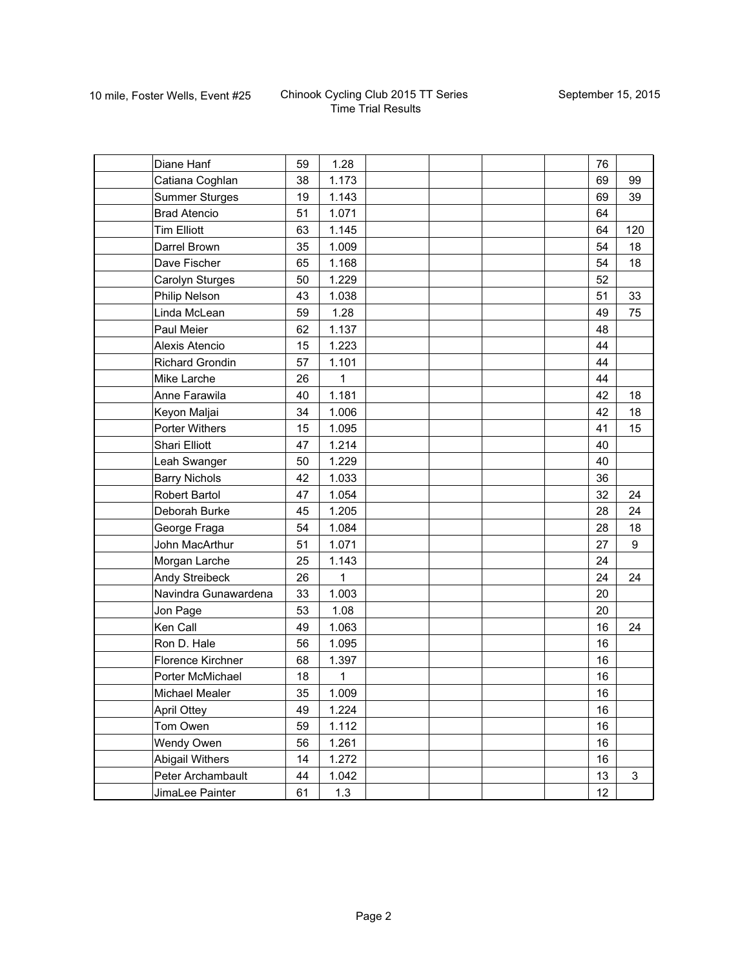| Diane Hanf             | 59 | 1.28  |  |  | 76 |     |
|------------------------|----|-------|--|--|----|-----|
| Catiana Coghlan        | 38 | 1.173 |  |  | 69 | 99  |
| <b>Summer Sturges</b>  | 19 | 1.143 |  |  | 69 | 39  |
| <b>Brad Atencio</b>    | 51 | 1.071 |  |  | 64 |     |
| <b>Tim Elliott</b>     | 63 | 1.145 |  |  | 64 | 120 |
| Darrel Brown           | 35 | 1.009 |  |  | 54 | 18  |
| Dave Fischer           | 65 | 1.168 |  |  | 54 | 18  |
| Carolyn Sturges        | 50 | 1.229 |  |  | 52 |     |
| Philip Nelson          | 43 | 1.038 |  |  | 51 | 33  |
| Linda McLean           | 59 | 1.28  |  |  | 49 | 75  |
| Paul Meier             | 62 | 1.137 |  |  | 48 |     |
| Alexis Atencio         | 15 | 1.223 |  |  | 44 |     |
| <b>Richard Grondin</b> | 57 | 1.101 |  |  | 44 |     |
| Mike Larche            | 26 | 1     |  |  | 44 |     |
| Anne Farawila          | 40 | 1.181 |  |  | 42 | 18  |
| Keyon Maljai           | 34 | 1.006 |  |  | 42 | 18  |
| Porter Withers         | 15 | 1.095 |  |  | 41 | 15  |
| <b>Shari Elliott</b>   | 47 | 1.214 |  |  | 40 |     |
| Leah Swanger           | 50 | 1.229 |  |  | 40 |     |
| <b>Barry Nichols</b>   | 42 | 1.033 |  |  | 36 |     |
| Robert Bartol          | 47 | 1.054 |  |  | 32 | 24  |
| Deborah Burke          | 45 | 1.205 |  |  | 28 | 24  |
| George Fraga           | 54 | 1.084 |  |  | 28 | 18  |
| John MacArthur         | 51 | 1.071 |  |  | 27 | 9   |
| Morgan Larche          | 25 | 1.143 |  |  | 24 |     |
| Andy Streibeck         | 26 | 1     |  |  | 24 | 24  |
| Navindra Gunawardena   | 33 | 1.003 |  |  | 20 |     |
| Jon Page               | 53 | 1.08  |  |  | 20 |     |
| Ken Call               | 49 | 1.063 |  |  | 16 | 24  |
| Ron D. Hale            | 56 | 1.095 |  |  | 16 |     |
| Florence Kirchner      | 68 | 1.397 |  |  | 16 |     |
| Porter McMichael       | 18 | 1     |  |  | 16 |     |
| Michael Mealer         | 35 | 1.009 |  |  | 16 |     |
| <b>April Ottey</b>     | 49 | 1.224 |  |  | 16 |     |
| Tom Owen               | 59 | 1.112 |  |  | 16 |     |
| Wendy Owen             | 56 | 1.261 |  |  | 16 |     |
| <b>Abigail Withers</b> | 14 | 1.272 |  |  | 16 |     |
| Peter Archambault      | 44 | 1.042 |  |  | 13 | 3   |
| JimaLee Painter        | 61 | 1.3   |  |  | 12 |     |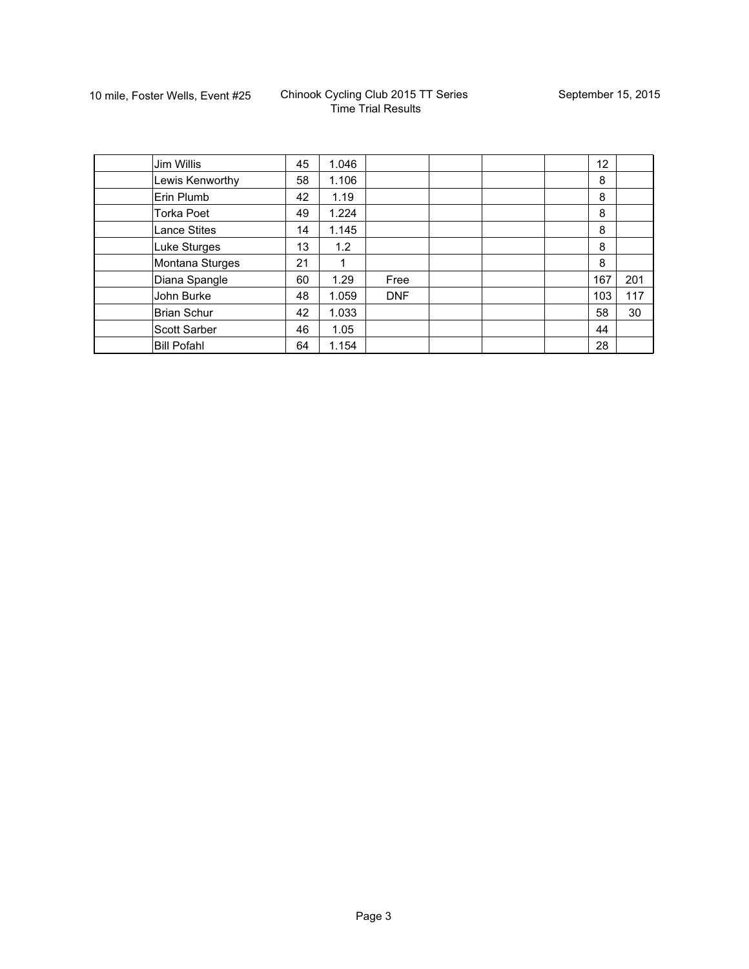| Jim Willis          | 45 | 1.046 |            |  | $12 \overline{ }$ |     |
|---------------------|----|-------|------------|--|-------------------|-----|
| Lewis Kenworthy     | 58 | 1.106 |            |  | 8                 |     |
| Erin Plumb          | 42 | 1.19  |            |  | 8                 |     |
| <b>Torka Poet</b>   | 49 | 1.224 |            |  | 8                 |     |
| <b>Lance Stites</b> | 14 | 1.145 |            |  | 8                 |     |
| Luke Sturges        | 13 | 1.2   |            |  | 8                 |     |
| Montana Sturges     | 21 |       |            |  | 8                 |     |
| Diana Spangle       | 60 | 1.29  | Free       |  | 167               | 201 |
| John Burke          | 48 | 1.059 | <b>DNF</b> |  | 103               | 117 |
| <b>Brian Schur</b>  | 42 | 1.033 |            |  | 58                | 30  |
| Scott Sarber        | 46 | 1.05  |            |  | 44                |     |
| <b>Bill Pofahl</b>  | 64 | 1.154 |            |  | 28                |     |